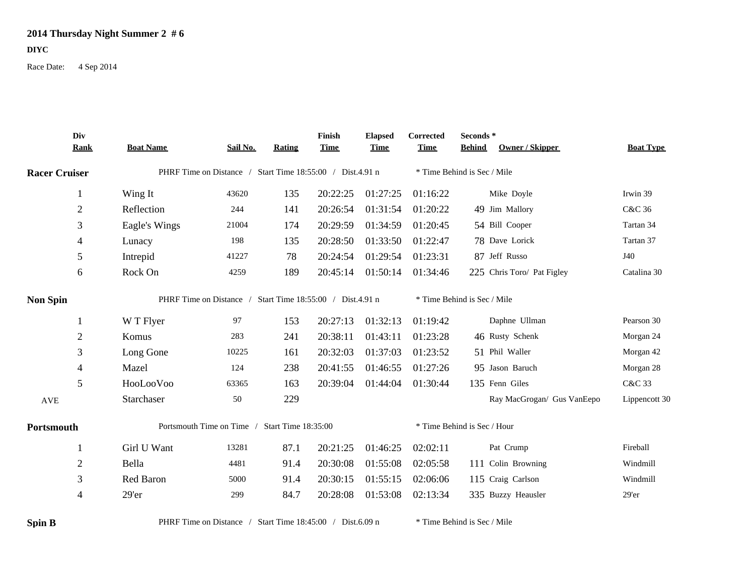## **2014 Thursday Night Summer 2 # 6**

## **DIYC**

Race Date: 4 Sep 2014

|                      | Div<br><b>Rank</b> | <b>Boat Name</b>                                          | Sail No. | <b>Rating</b> | Finish<br><b>Time</b> | <b>Elapsed</b><br><b>Time</b> | Corrected<br><b>Time</b> | Seconds*<br><b>Owner / Skipper</b><br><b>Behind</b> | <b>Boat Type</b> |  |  |
|----------------------|--------------------|-----------------------------------------------------------|----------|---------------|-----------------------|-------------------------------|--------------------------|-----------------------------------------------------|------------------|--|--|
| <b>Racer Cruiser</b> |                    | PHRF Time on Distance / Start Time 18:55:00 / Dist.4.91 n |          |               |                       | * Time Behind is Sec / Mile   |                          |                                                     |                  |  |  |
|                      | $\mathbf{1}$       | Wing It                                                   | 43620    | 135           | 20:22:25              | 01:27:25                      | 01:16:22                 | Mike Doyle                                          | Irwin 39         |  |  |
|                      | $\sqrt{2}$         | Reflection                                                | 244      | 141           | 20:26:54              | 01:31:54                      | 01:20:22                 | 49 Jim Mallory                                      | C&C 36           |  |  |
|                      | 3                  | Eagle's Wings                                             | 21004    | 174           | 20:29:59              | 01:34:59                      | 01:20:45                 | 54 Bill Cooper                                      | Tartan 34        |  |  |
|                      | 4                  | Lunacy                                                    | 198      | 135           | 20:28:50              | 01:33:50                      | 01:22:47                 | 78 Dave Lorick                                      | Tartan 37        |  |  |
|                      | 5                  | Intrepid                                                  | 41227    | 78            | 20:24:54              | 01:29:54                      | 01:23:31                 | 87 Jeff Russo                                       | J40              |  |  |
|                      | 6                  | Rock On                                                   | 4259     | 189           | 20:45:14              | 01:50:14                      | 01:34:46                 | 225 Chris Toro/ Pat Figley                          | Catalina 30      |  |  |
| <b>Non Spin</b>      |                    | PHRF Time on Distance / Start Time 18:55:00 / Dist.4.91 n |          |               |                       | * Time Behind is Sec / Mile   |                          |                                                     |                  |  |  |
|                      | $\mathbf{1}$       | W T Flyer                                                 | 97       | 153           | 20:27:13              | 01:32:13                      | 01:19:42                 | Daphne Ullman                                       | Pearson 30       |  |  |
|                      | $\overline{2}$     | Komus                                                     | 283      | 241           | 20:38:11              | 01:43:11                      | 01:23:28                 | 46 Rusty Schenk                                     | Morgan 24        |  |  |
|                      | 3                  | Long Gone                                                 | 10225    | 161           | 20:32:03              | 01:37:03                      | 01:23:52                 | 51 Phil Waller                                      | Morgan 42        |  |  |
|                      | $\overline{4}$     | Mazel                                                     | 124      | 238           | 20:41:55              | 01:46:55                      | 01:27:26                 | 95 Jason Baruch                                     | Morgan 28        |  |  |
|                      | $\mathfrak{S}$     | HooLooVoo                                                 | 63365    | 163           | 20:39:04              | 01:44:04                      | 01:30:44                 | 135 Fenn Giles                                      | C&C 33           |  |  |
| <b>AVE</b>           |                    | Starchaser                                                | 50       | 229           |                       |                               |                          | Ray MacGrogan/ Gus VanEepo                          | Lippencott 30    |  |  |
| Portsmouth           |                    | Portsmouth Time on Time / Start Time 18:35:00             |          |               |                       |                               |                          | * Time Behind is Sec / Hour                         |                  |  |  |
|                      | -1                 | Girl U Want                                               | 13281    | 87.1          | 20:21:25              | 01:46:25                      | 02:02:11                 | Pat Crump                                           | Fireball         |  |  |
|                      | $\overline{2}$     | Bella                                                     | 4481     | 91.4          | 20:30:08              | 01:55:08                      | 02:05:58                 | 111 Colin Browning                                  | Windmill         |  |  |
|                      | 3                  | Red Baron                                                 | 5000     | 91.4          | 20:30:15              | 01:55:15                      | 02:06:06                 | 115 Craig Carlson                                   | Windmill         |  |  |
|                      | 4                  | 29'er                                                     | 299      | 84.7          | 20:28:08              | 01:53:08                      | 02:13:34                 | 335 Buzzy Heausler                                  | 29'er            |  |  |
| <b>Spin B</b>        |                    | PHRF Time on Distance / Start Time 18:45:00 / Dist.6.09 n |          |               |                       |                               |                          | * Time Behind is Sec / Mile                         |                  |  |  |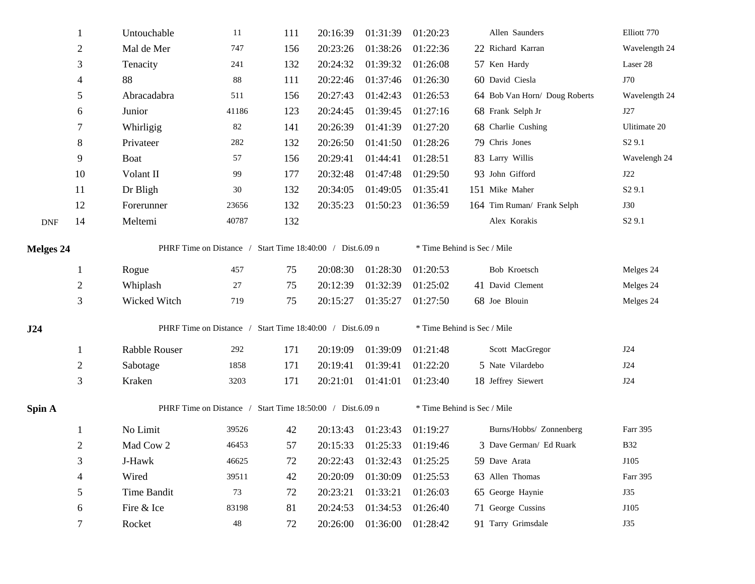|                  | 1              | Untouchable                                               | 11    | 111 | 20:16:39 | 01:31:39 | 01:20:23 | Allen Saunders                | Elliott 770        |  |  |  |
|------------------|----------------|-----------------------------------------------------------|-------|-----|----------|----------|----------|-------------------------------|--------------------|--|--|--|
|                  | $\overline{c}$ | Mal de Mer                                                | 747   | 156 | 20:23:26 | 01:38:26 | 01:22:36 | 22 Richard Karran             | Wavelength 24      |  |  |  |
|                  | 3              | Tenacity                                                  | 241   | 132 | 20:24:32 | 01:39:32 | 01:26:08 | 57 Ken Hardy                  | Laser 28           |  |  |  |
|                  | $\overline{4}$ | 88                                                        | 88    | 111 | 20:22:46 | 01:37:46 | 01:26:30 | 60 David Ciesla               | J70                |  |  |  |
|                  | 5              | Abracadabra                                               | 511   | 156 | 20:27:43 | 01:42:43 | 01:26:53 | 64 Bob Van Horn/ Doug Roberts | Wavelength 24      |  |  |  |
|                  | 6              | Junior                                                    | 41186 | 123 | 20:24:45 | 01:39:45 | 01:27:16 | 68 Frank Selph Jr             | J27                |  |  |  |
|                  | 7              | Whirligig                                                 | 82    | 141 | 20:26:39 | 01:41:39 | 01:27:20 | 68 Charlie Cushing            | Ulitimate 20       |  |  |  |
|                  | 8              | Privateer                                                 | 282   | 132 | 20:26:50 | 01:41:50 | 01:28:26 | 79 Chris Jones                | S <sub>2</sub> 9.1 |  |  |  |
|                  | 9              | Boat                                                      | 57    | 156 | 20:29:41 | 01:44:41 | 01:28:51 | 83 Larry Willis               | Wavelengh 24       |  |  |  |
|                  | 10             | Volant II                                                 | 99    | 177 | 20:32:48 | 01:47:48 | 01:29:50 | 93 John Gifford               | J22                |  |  |  |
|                  | 11             | Dr Bligh                                                  | 30    | 132 | 20:34:05 | 01:49:05 | 01:35:41 | 151 Mike Maher                | S <sub>2</sub> 9.1 |  |  |  |
|                  | 12             | Forerunner                                                | 23656 | 132 | 20:35:23 | 01:50:23 | 01:36:59 | 164 Tim Ruman/ Frank Selph    | <b>J30</b>         |  |  |  |
| <b>DNF</b>       | 14             | Meltemi                                                   | 40787 | 132 |          |          |          | Alex Korakis                  | S <sub>2</sub> 9.1 |  |  |  |
| <b>Melges 24</b> |                | PHRF Time on Distance / Start Time 18:40:00 / Dist.6.09 n |       |     |          |          |          | * Time Behind is Sec / Mile   |                    |  |  |  |
|                  | 1              | Rogue                                                     | 457   | 75  | 20:08:30 | 01:28:30 | 01:20:53 | Bob Kroetsch                  | Melges 24          |  |  |  |
|                  | $\overline{c}$ | Whiplash                                                  | 27    | 75  | 20:12:39 | 01:32:39 | 01:25:02 | 41 David Clement              | Melges 24          |  |  |  |
|                  | $\mathfrak{Z}$ | Wicked Witch                                              | 719   | 75  | 20:15:27 | 01:35:27 | 01:27:50 | 68 Joe Blouin                 | Melges 24          |  |  |  |
| J24              |                | PHRF Time on Distance / Start Time 18:40:00 / Dist.6.09 n |       |     |          |          |          | * Time Behind is Sec / Mile   |                    |  |  |  |
|                  | 1              | Rabble Rouser                                             | 292   | 171 | 20:19:09 | 01:39:09 | 01:21:48 | Scott MacGregor               | J24                |  |  |  |
|                  | 2              | Sabotage                                                  | 1858  | 171 | 20:19:41 | 01:39:41 | 01:22:20 | 5 Nate Vilardebo              | J24                |  |  |  |
|                  | $\mathfrak{Z}$ | Kraken                                                    | 3203  | 171 | 20:21:01 | 01:41:01 | 01:23:40 | 18 Jeffrey Siewert            | J24                |  |  |  |
| Spin A           |                | PHRF Time on Distance / Start Time 18:50:00 / Dist.6.09 n |       |     |          |          |          | * Time Behind is Sec / Mile   |                    |  |  |  |
|                  | 1              | No Limit                                                  | 39526 | 42  | 20:13:43 | 01:23:43 | 01:19:27 | Burns/Hobbs/ Zonnenberg       | Farr 395           |  |  |  |
|                  | $\overline{c}$ | Mad Cow 2                                                 | 46453 | 57  | 20:15:33 | 01:25:33 | 01:19:46 | 3 Dave German/ Ed Ruark       | <b>B32</b>         |  |  |  |
|                  | 3              | J-Hawk                                                    | 46625 | 72  | 20:22:43 | 01:32:43 | 01:25:25 | 59 Dave Arata                 | J105               |  |  |  |
|                  | 4              | Wired                                                     | 39511 | 42  | 20:20:09 | 01:30:09 | 01:25:53 | 63 Allen Thomas               | Farr 395           |  |  |  |
|                  | 5              | Time Bandit                                               | 73    | 72  | 20:23:21 | 01:33:21 | 01:26:03 | 65 George Haynie              | <b>J35</b>         |  |  |  |
|                  | 6              | Fire & Ice                                                | 83198 | 81  | 20:24:53 | 01:34:53 | 01:26:40 | 71 George Cussins             | J105               |  |  |  |
|                  | 7              | Rocket                                                    | 48    | 72  | 20:26:00 | 01:36:00 | 01:28:42 | 91 Tarry Grimsdale            | <b>J35</b>         |  |  |  |